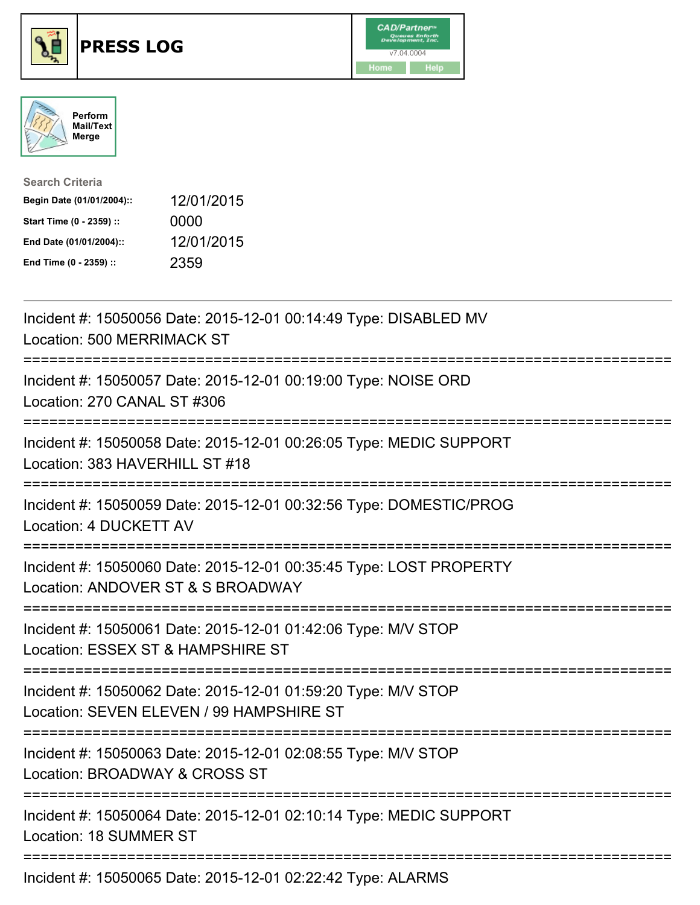





| <b>Search Criteria</b>    |            |
|---------------------------|------------|
| Begin Date (01/01/2004):: | 12/01/2015 |
| Start Time (0 - 2359) ::  | 0000       |
| End Date (01/01/2004)::   | 12/01/2015 |
| End Time (0 - 2359) ::    | 2359       |

| Incident #: 15050056 Date: 2015-12-01 00:14:49 Type: DISABLED MV<br>Location: 500 MERRIMACK ST                                                |
|-----------------------------------------------------------------------------------------------------------------------------------------------|
| Incident #: 15050057 Date: 2015-12-01 00:19:00 Type: NOISE ORD<br>Location: 270 CANAL ST #306                                                 |
| Incident #: 15050058 Date: 2015-12-01 00:26:05 Type: MEDIC SUPPORT<br>Location: 383 HAVERHILL ST #18                                          |
| Incident #: 15050059 Date: 2015-12-01 00:32:56 Type: DOMESTIC/PROG<br>Location: 4 DUCKETT AV<br>=================                             |
| Incident #: 15050060 Date: 2015-12-01 00:35:45 Type: LOST PROPERTY<br>Location: ANDOVER ST & S BROADWAY<br>=============================      |
| Incident #: 15050061 Date: 2015-12-01 01:42:06 Type: M/V STOP<br>Location: ESSEX ST & HAMPSHIRE ST                                            |
| Incident #: 15050062 Date: 2015-12-01 01:59:20 Type: M/V STOP<br>Location: SEVEN ELEVEN / 99 HAMPSHIRE ST<br>:=============================== |
| Incident #: 15050063 Date: 2015-12-01 02:08:55 Type: M/V STOP<br>Location: BROADWAY & CROSS ST                                                |
| Incident #: 15050064 Date: 2015-12-01 02:10:14 Type: MEDIC SUPPORT<br><b>Location: 18 SUMMER ST</b>                                           |
| Incident #: 15050065 Date: 2015-12-01 02:22:42 Type: ALARMS                                                                                   |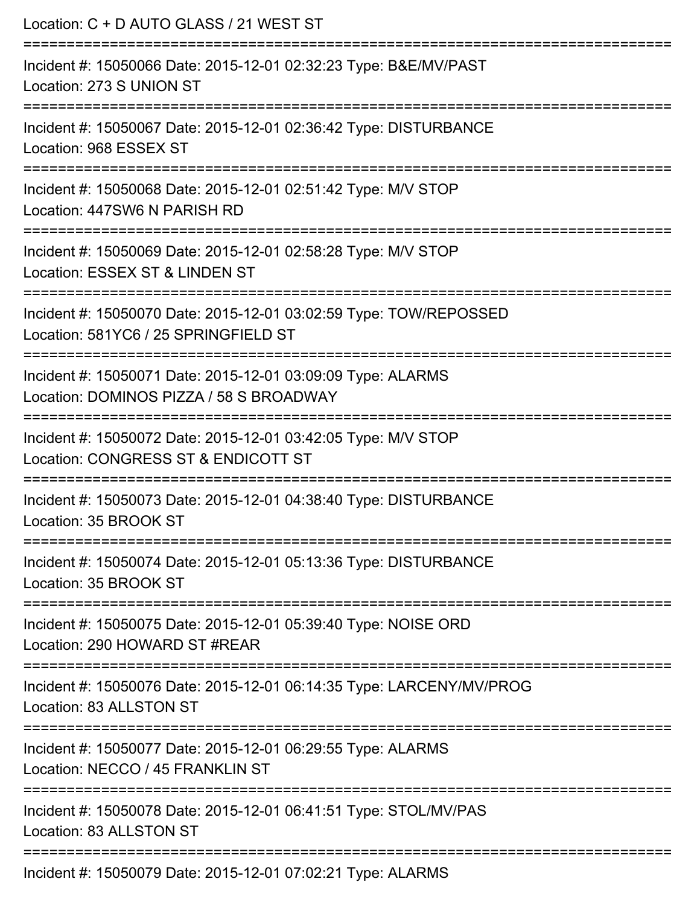| Location: C + D AUTO GLASS / 21 WEST ST                                                                                          |
|----------------------------------------------------------------------------------------------------------------------------------|
| Incident #: 15050066 Date: 2015-12-01 02:32:23 Type: B&E/MV/PAST<br>Location: 273 S UNION ST                                     |
| Incident #: 15050067 Date: 2015-12-01 02:36:42 Type: DISTURBANCE<br>Location: 968 ESSEX ST                                       |
| Incident #: 15050068 Date: 2015-12-01 02:51:42 Type: M/V STOP<br>Location: 447SW6 N PARISH RD                                    |
| Incident #: 15050069 Date: 2015-12-01 02:58:28 Type: M/V STOP<br>Location: ESSEX ST & LINDEN ST                                  |
| Incident #: 15050070 Date: 2015-12-01 03:02:59 Type: TOW/REPOSSED<br>Location: 581YC6 / 25 SPRINGFIELD ST                        |
| ----------------------<br>Incident #: 15050071 Date: 2015-12-01 03:09:09 Type: ALARMS<br>Location: DOMINOS PIZZA / 58 S BROADWAY |
| Incident #: 15050072 Date: 2015-12-01 03:42:05 Type: M/V STOP<br>Location: CONGRESS ST & ENDICOTT ST                             |
| Incident #: 15050073 Date: 2015-12-01 04:38:40 Type: DISTURBANCE<br>Location: 35 BROOK ST                                        |
| Incident #: 15050074 Date: 2015-12-01 05:13:36 Type: DISTURBANCE<br>Location: 35 BROOK ST                                        |
| Incident #: 15050075 Date: 2015-12-01 05:39:40 Type: NOISE ORD<br>Location: 290 HOWARD ST #REAR                                  |
| Incident #: 15050076 Date: 2015-12-01 06:14:35 Type: LARCENY/MV/PROG<br>Location: 83 ALLSTON ST                                  |
| Incident #: 15050077 Date: 2015-12-01 06:29:55 Type: ALARMS<br>Location: NECCO / 45 FRANKLIN ST                                  |
| Incident #: 15050078 Date: 2015-12-01 06:41:51 Type: STOL/MV/PAS<br>Location: 83 ALLSTON ST                                      |
| Incident #: 15050079 Date: 2015-12-01 07:02:21 Type: ALARMS                                                                      |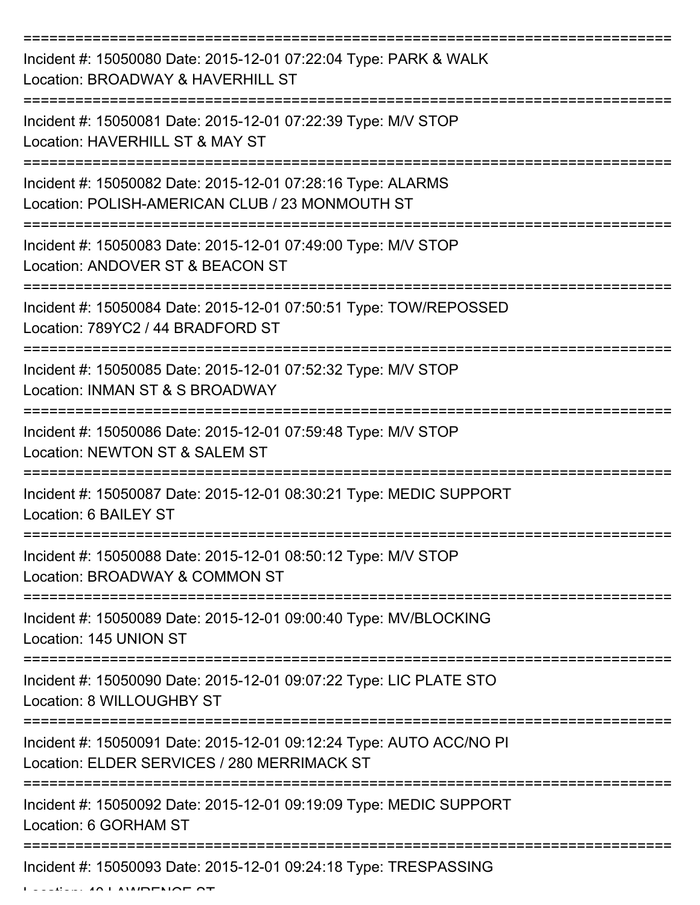| Incident #: 15050080 Date: 2015-12-01 07:22:04 Type: PARK & WALK<br>Location: BROADWAY & HAVERHILL ST              |
|--------------------------------------------------------------------------------------------------------------------|
| Incident #: 15050081 Date: 2015-12-01 07:22:39 Type: M/V STOP<br>Location: HAVERHILL ST & MAY ST                   |
| Incident #: 15050082 Date: 2015-12-01 07:28:16 Type: ALARMS<br>Location: POLISH-AMERICAN CLUB / 23 MONMOUTH ST     |
| Incident #: 15050083 Date: 2015-12-01 07:49:00 Type: M/V STOP<br>Location: ANDOVER ST & BEACON ST                  |
| Incident #: 15050084 Date: 2015-12-01 07:50:51 Type: TOW/REPOSSED<br>Location: 789YC2 / 44 BRADFORD ST             |
| Incident #: 15050085 Date: 2015-12-01 07:52:32 Type: M/V STOP<br>Location: INMAN ST & S BROADWAY                   |
| Incident #: 15050086 Date: 2015-12-01 07:59:48 Type: M/V STOP<br>Location: NEWTON ST & SALEM ST                    |
| Incident #: 15050087 Date: 2015-12-01 08:30:21 Type: MEDIC SUPPORT<br>Location: 6 BAILEY ST                        |
| Incident #: 15050088 Date: 2015-12-01 08:50:12 Type: M/V STOP<br>Location: BROADWAY & COMMON ST                    |
| Incident #: 15050089 Date: 2015-12-01 09:00:40 Type: MV/BLOCKING<br>Location: 145 UNION ST                         |
| Incident #: 15050090 Date: 2015-12-01 09:07:22 Type: LIC PLATE STO<br>Location: 8 WILLOUGHBY ST                    |
| Incident #: 15050091 Date: 2015-12-01 09:12:24 Type: AUTO ACC/NO PI<br>Location: ELDER SERVICES / 280 MERRIMACK ST |
| Incident #: 15050092 Date: 2015-12-01 09:19:09 Type: MEDIC SUPPORT<br>Location: 6 GORHAM ST                        |
| Incident #: 15050093 Date: 2015-12-01 09:24:18 Type: TRESPASSING                                                   |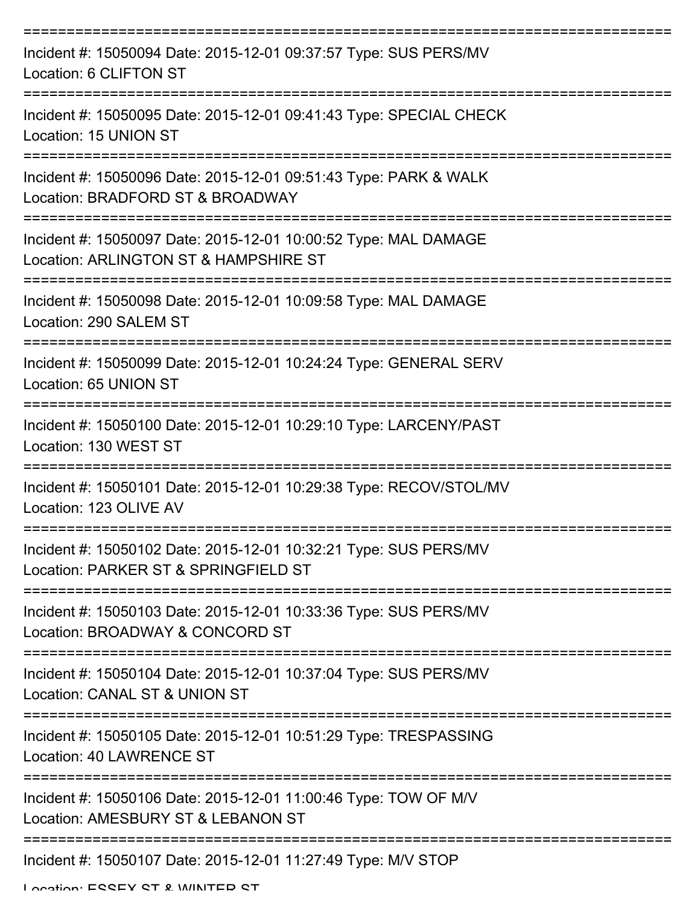| Incident #: 15050094 Date: 2015-12-01 09:37:57 Type: SUS PERS/MV<br>Location: 6 CLIFTON ST               |
|----------------------------------------------------------------------------------------------------------|
| Incident #: 15050095 Date: 2015-12-01 09:41:43 Type: SPECIAL CHECK<br>Location: 15 UNION ST              |
| Incident #: 15050096 Date: 2015-12-01 09:51:43 Type: PARK & WALK<br>Location: BRADFORD ST & BROADWAY     |
| Incident #: 15050097 Date: 2015-12-01 10:00:52 Type: MAL DAMAGE<br>Location: ARLINGTON ST & HAMPSHIRE ST |
| Incident #: 15050098 Date: 2015-12-01 10:09:58 Type: MAL DAMAGE<br>Location: 290 SALEM ST                |
| Incident #: 15050099 Date: 2015-12-01 10:24:24 Type: GENERAL SERV<br>Location: 65 UNION ST               |
| Incident #: 15050100 Date: 2015-12-01 10:29:10 Type: LARCENY/PAST<br>Location: 130 WEST ST               |
| Incident #: 15050101 Date: 2015-12-01 10:29:38 Type: RECOV/STOL/MV<br>Location: 123 OLIVE AV             |
| Incident #: 15050102 Date: 2015-12-01 10:32:21 Type: SUS PERS/MV<br>Location: PARKER ST & SPRINGFIELD ST |
| Incident #: 15050103 Date: 2015-12-01 10:33:36 Type: SUS PERS/MV<br>Location: BROADWAY & CONCORD ST      |
| Incident #: 15050104 Date: 2015-12-01 10:37:04 Type: SUS PERS/MV<br>Location: CANAL ST & UNION ST        |
| Incident #: 15050105 Date: 2015-12-01 10:51:29 Type: TRESPASSING<br>Location: 40 LAWRENCE ST             |
| Incident #: 15050106 Date: 2015-12-01 11:00:46 Type: TOW OF M/V<br>Location: AMESBURY ST & LEBANON ST    |
| Incident #: 15050107 Date: 2015-12-01 11:27:49 Type: M/V STOP                                            |

Location: ESSEY ST & WINTED ST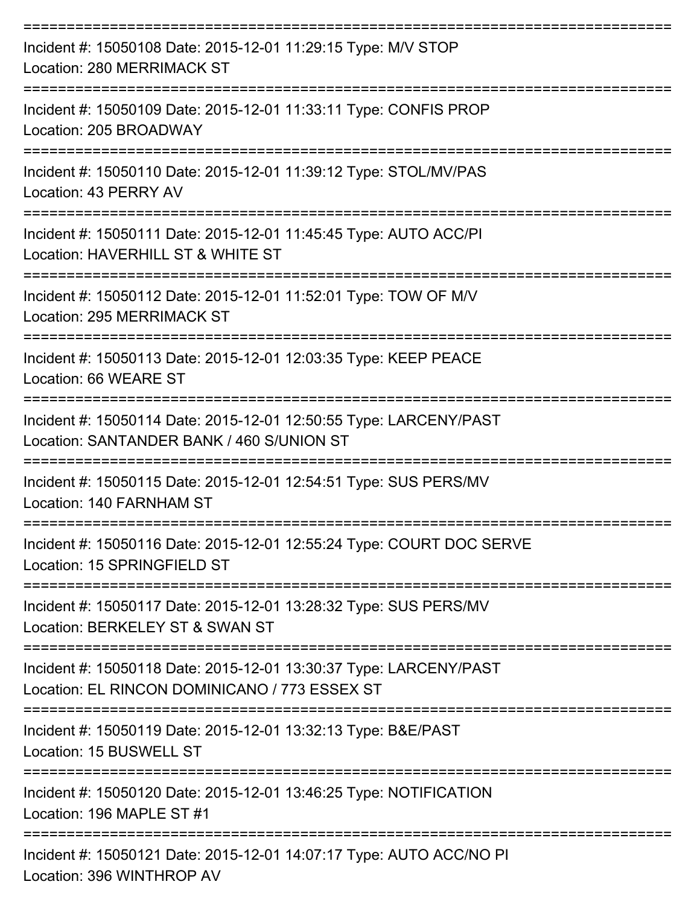| Incident #: 15050108 Date: 2015-12-01 11:29:15 Type: M/V STOP<br><b>Location: 280 MERRIMACK ST</b>                 |
|--------------------------------------------------------------------------------------------------------------------|
| Incident #: 15050109 Date: 2015-12-01 11:33:11 Type: CONFIS PROP<br>Location: 205 BROADWAY                         |
| Incident #: 15050110 Date: 2015-12-01 11:39:12 Type: STOL/MV/PAS<br>Location: 43 PERRY AV                          |
| Incident #: 15050111 Date: 2015-12-01 11:45:45 Type: AUTO ACC/PI<br>Location: HAVERHILL ST & WHITE ST              |
| Incident #: 15050112 Date: 2015-12-01 11:52:01 Type: TOW OF M/V<br><b>Location: 295 MERRIMACK ST</b>               |
| Incident #: 15050113 Date: 2015-12-01 12:03:35 Type: KEEP PEACE<br>Location: 66 WEARE ST                           |
| Incident #: 15050114 Date: 2015-12-01 12:50:55 Type: LARCENY/PAST<br>Location: SANTANDER BANK / 460 S/UNION ST     |
| :================<br>Incident #: 15050115 Date: 2015-12-01 12:54:51 Type: SUS PERS/MV<br>Location: 140 FARNHAM ST  |
| Incident #: 15050116 Date: 2015-12-01 12:55:24 Type: COURT DOC SERVE<br>Location: 15 SPRINGFIELD ST                |
| Incident #: 15050117 Date: 2015-12-01 13:28:32 Type: SUS PERS/MV<br>Location: BERKELEY ST & SWAN ST                |
| Incident #: 15050118 Date: 2015-12-01 13:30:37 Type: LARCENY/PAST<br>Location: EL RINCON DOMINICANO / 773 ESSEX ST |
| Incident #: 15050119 Date: 2015-12-01 13:32:13 Type: B&E/PAST<br>Location: 15 BUSWELL ST                           |
| Incident #: 15050120 Date: 2015-12-01 13:46:25 Type: NOTIFICATION<br>Location: 196 MAPLE ST #1                     |
| Incident #: 15050121 Date: 2015-12-01 14:07:17 Type: AUTO ACC/NO PI<br>Location: 396 WINTHROP AV                   |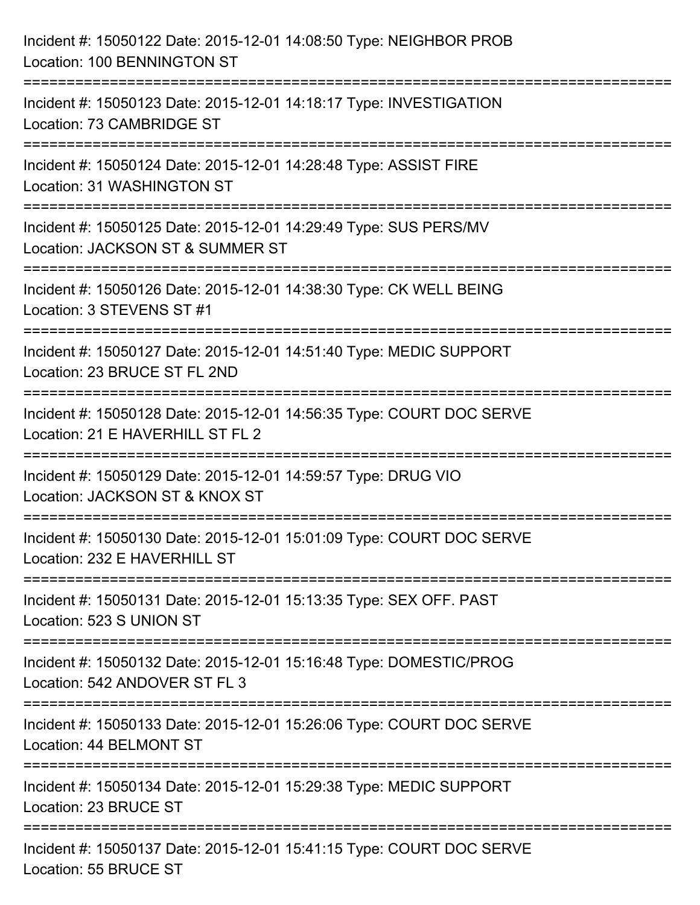| Incident #: 15050122 Date: 2015-12-01 14:08:50 Type: NEIGHBOR PROB<br>Location: 100 BENNINGTON ST                                      |
|----------------------------------------------------------------------------------------------------------------------------------------|
| ===================================<br>Incident #: 15050123 Date: 2015-12-01 14:18:17 Type: INVESTIGATION<br>Location: 73 CAMBRIDGE ST |
| Incident #: 15050124 Date: 2015-12-01 14:28:48 Type: ASSIST FIRE<br>Location: 31 WASHINGTON ST                                         |
| Incident #: 15050125 Date: 2015-12-01 14:29:49 Type: SUS PERS/MV<br>Location: JACKSON ST & SUMMER ST<br>============================   |
| Incident #: 15050126 Date: 2015-12-01 14:38:30 Type: CK WELL BEING<br>Location: 3 STEVENS ST #1                                        |
| Incident #: 15050127 Date: 2015-12-01 14:51:40 Type: MEDIC SUPPORT<br>Location: 23 BRUCE ST FL 2ND                                     |
| Incident #: 15050128 Date: 2015-12-01 14:56:35 Type: COURT DOC SERVE<br>Location: 21 E HAVERHILL ST FL 2                               |
| Incident #: 15050129 Date: 2015-12-01 14:59:57 Type: DRUG VIO<br>Location: JACKSON ST & KNOX ST                                        |
| Incident #: 15050130 Date: 2015-12-01 15:01:09 Type: COURT DOC SERVE<br>Location: 232 E HAVERHILL ST                                   |
| Incident #: 15050131 Date: 2015-12-01 15:13:35 Type: SEX OFF. PAST<br>Location: 523 S UNION ST                                         |
| Incident #: 15050132 Date: 2015-12-01 15:16:48 Type: DOMESTIC/PROG<br>Location: 542 ANDOVER ST FL 3                                    |
| Incident #: 15050133 Date: 2015-12-01 15:26:06 Type: COURT DOC SERVE<br>Location: 44 BELMONT ST                                        |
| Incident #: 15050134 Date: 2015-12-01 15:29:38 Type: MEDIC SUPPORT<br>Location: 23 BRUCE ST                                            |
| Incident #: 15050137 Date: 2015-12-01 15:41:15 Type: COURT DOC SERVE<br>Location: 55 BRUCE ST                                          |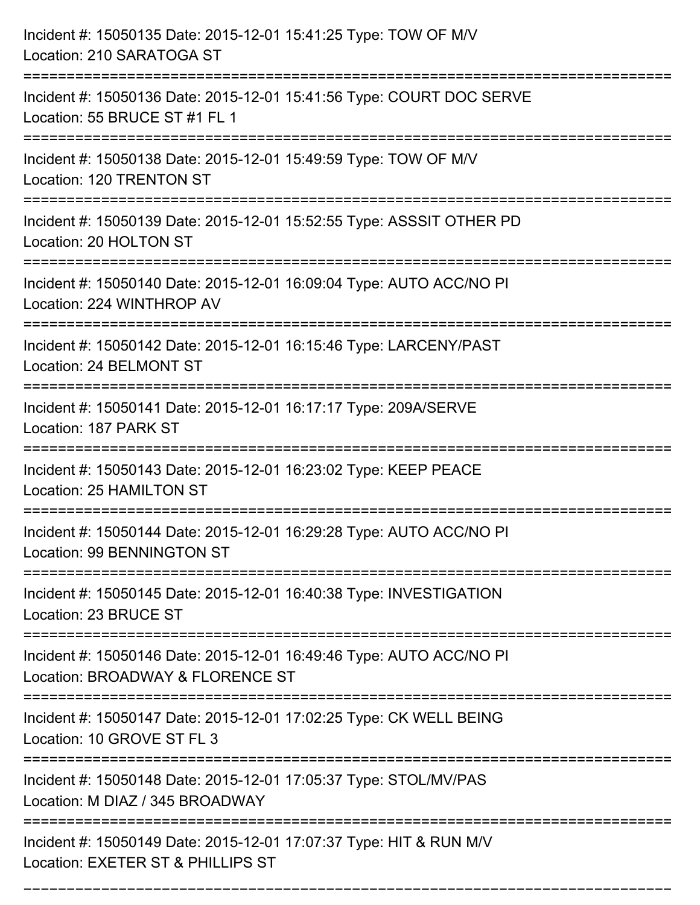| Incident #: 15050135 Date: 2015-12-01 15:41:25 Type: TOW OF M/V<br>Location: 210 SARATOGA ST                                                  |
|-----------------------------------------------------------------------------------------------------------------------------------------------|
| ====================================<br>Incident #: 15050136 Date: 2015-12-01 15:41:56 Type: COURT DOC SERVE<br>Location: 55 BRUCE ST #1 FL 1 |
| Incident #: 15050138 Date: 2015-12-01 15:49:59 Type: TOW OF M/V<br>Location: 120 TRENTON ST                                                   |
| Incident #: 15050139 Date: 2015-12-01 15:52:55 Type: ASSSIT OTHER PD<br>Location: 20 HOLTON ST                                                |
| Incident #: 15050140 Date: 2015-12-01 16:09:04 Type: AUTO ACC/NO PI<br>Location: 224 WINTHROP AV                                              |
| Incident #: 15050142 Date: 2015-12-01 16:15:46 Type: LARCENY/PAST<br>Location: 24 BELMONT ST                                                  |
| Incident #: 15050141 Date: 2015-12-01 16:17:17 Type: 209A/SERVE<br>Location: 187 PARK ST                                                      |
| Incident #: 15050143 Date: 2015-12-01 16:23:02 Type: KEEP PEACE<br>Location: 25 HAMILTON ST                                                   |
| Incident #: 15050144 Date: 2015-12-01 16:29:28 Type: AUTO ACC/NO PI<br>Location: 99 BENNINGTON ST                                             |
| Incident #: 15050145 Date: 2015-12-01 16:40:38 Type: INVESTIGATION<br>Location: 23 BRUCE ST                                                   |
| Incident #: 15050146 Date: 2015-12-01 16:49:46 Type: AUTO ACC/NO PI<br>Location: BROADWAY & FLORENCE ST                                       |
| Incident #: 15050147 Date: 2015-12-01 17:02:25 Type: CK WELL BEING<br>Location: 10 GROVE ST FL 3                                              |
| Incident #: 15050148 Date: 2015-12-01 17:05:37 Type: STOL/MV/PAS<br>Location: M DIAZ / 345 BROADWAY                                           |
| Incident #: 15050149 Date: 2015-12-01 17:07:37 Type: HIT & RUN M/V<br>Location: EXETER ST & PHILLIPS ST                                       |

===========================================================================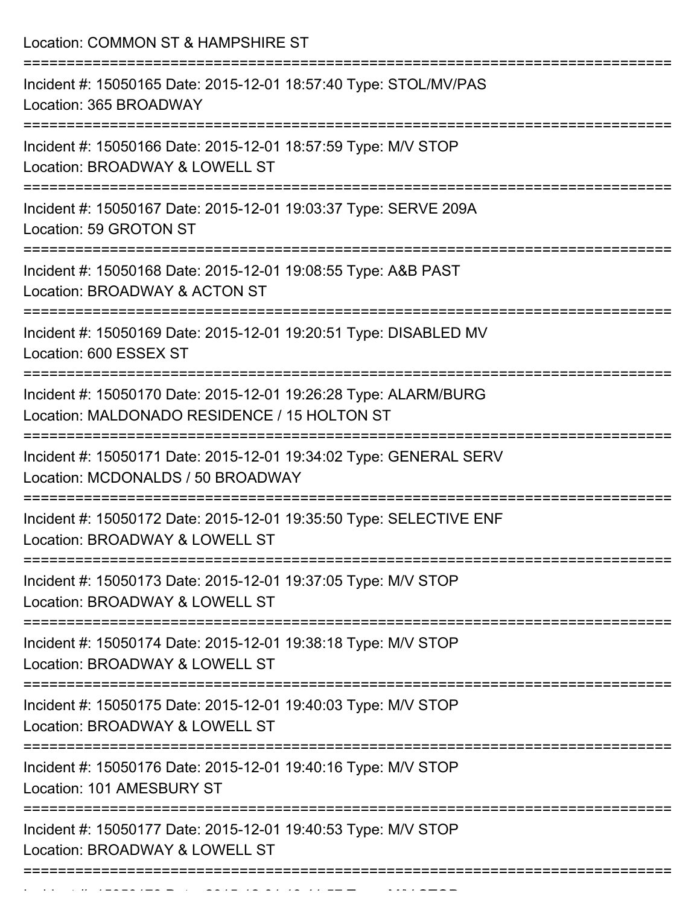Location: COMMON ST & HAMPSHIRE ST =========================================================================== Incident #: 15050165 Date: 2015-12-01 18:57:40 Type: STOL/MV/PAS Location: 365 BROADWAY =========================================================================== Incident #: 15050166 Date: 2015-12-01 18:57:59 Type: M/V STOP Location: BROADWAY & LOWELL ST =========================================================================== Incident #: 15050167 Date: 2015-12-01 19:03:37 Type: SERVE 209A Location: 59 GROTON ST =========================================================================== Incident #: 15050168 Date: 2015-12-01 19:08:55 Type: A&B PAST Location: BROADWAY & ACTON ST =========================================================================== Incident #: 15050169 Date: 2015-12-01 19:20:51 Type: DISABLED MV Location: 600 ESSEX ST =========================================================================== Incident #: 15050170 Date: 2015-12-01 19:26:28 Type: ALARM/BURG Location: MALDONADO RESIDENCE / 15 HOLTON ST =========================================================================== Incident #: 15050171 Date: 2015-12-01 19:34:02 Type: GENERAL SERV Location: MCDONALDS / 50 BROADWAY =========================================================================== Incident #: 15050172 Date: 2015-12-01 19:35:50 Type: SELECTIVE ENF Location: BROADWAY & LOWELL ST =========================================================================== Incident #: 15050173 Date: 2015-12-01 19:37:05 Type: M/V STOP Location: BROADWAY & LOWELL ST =========================================================================== Incident #: 15050174 Date: 2015-12-01 19:38:18 Type: M/V STOP Location: BROADWAY & LOWELL ST =========================================================================== Incident #: 15050175 Date: 2015-12-01 19:40:03 Type: M/V STOP Location: BROADWAY & LOWELL ST =========================================================================== Incident #: 15050176 Date: 2015-12-01 19:40:16 Type: M/V STOP Location: 101 AMESBURY ST =========================================================================== Incident #: 15050177 Date: 2015-12-01 19:40:53 Type: M/V STOP Location: BROADWAY & LOWELL ST ===========================================================================

Incident #: 15050178 Date: 2015 12 01 19:41:57 Type: M/V STOP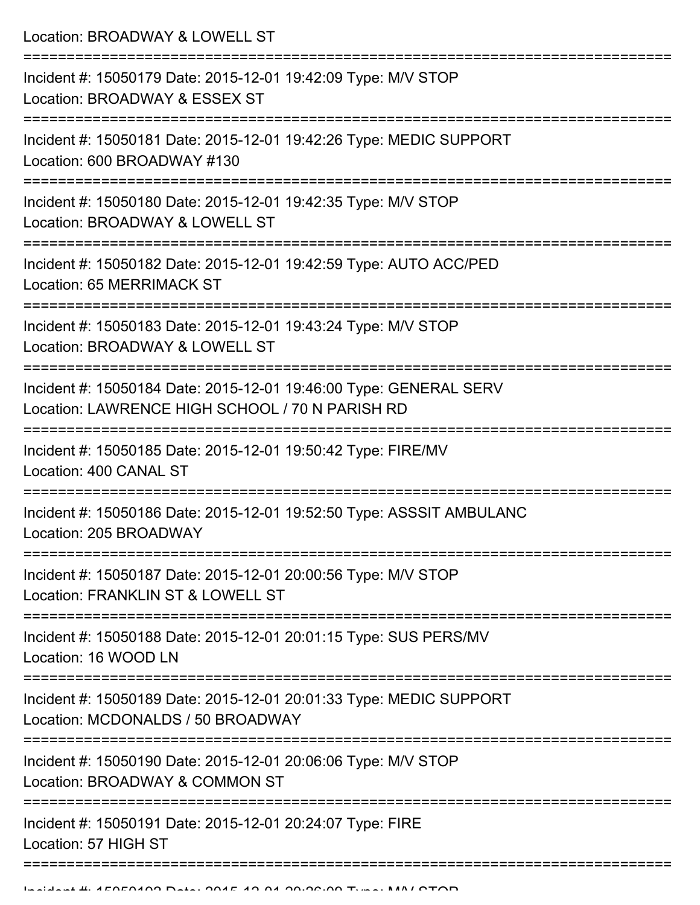Location: BROADWAY & LOWELL ST

| Incident #: 15050179 Date: 2015-12-01 19:42:09 Type: M/V STOP<br>Location: BROADWAY & ESSEX ST                       |
|----------------------------------------------------------------------------------------------------------------------|
| Incident #: 15050181 Date: 2015-12-01 19:42:26 Type: MEDIC SUPPORT<br>Location: 600 BROADWAY #130                    |
| Incident #: 15050180 Date: 2015-12-01 19:42:35 Type: M/V STOP<br>Location: BROADWAY & LOWELL ST                      |
| Incident #: 15050182 Date: 2015-12-01 19:42:59 Type: AUTO ACC/PED<br>Location: 65 MERRIMACK ST                       |
| Incident #: 15050183 Date: 2015-12-01 19:43:24 Type: M/V STOP<br>Location: BROADWAY & LOWELL ST                      |
| Incident #: 15050184 Date: 2015-12-01 19:46:00 Type: GENERAL SERV<br>Location: LAWRENCE HIGH SCHOOL / 70 N PARISH RD |
| Incident #: 15050185 Date: 2015-12-01 19:50:42 Type: FIRE/MV<br>Location: 400 CANAL ST                               |
| Incident #: 15050186 Date: 2015-12-01 19:52:50 Type: ASSSIT AMBULANC<br>Location: 205 BROADWAY                       |
| Incident #: 15050187 Date: 2015-12-01 20:00:56 Type: M/V STOP<br>Location: FRANKLIN ST & LOWELL ST                   |
| Incident #: 15050188 Date: 2015-12-01 20:01:15 Type: SUS PERS/MV<br>Location: 16 WOOD LN                             |
| Incident #: 15050189 Date: 2015-12-01 20:01:33 Type: MEDIC SUPPORT<br>Location: MCDONALDS / 50 BROADWAY              |
| Incident #: 15050190 Date: 2015-12-01 20:06:06 Type: M/V STOP<br>Location: BROADWAY & COMMON ST                      |
| Incident #: 15050191 Date: 2015-12-01 20:24:07 Type: FIRE<br>Location: 57 HIGH ST                                    |
|                                                                                                                      |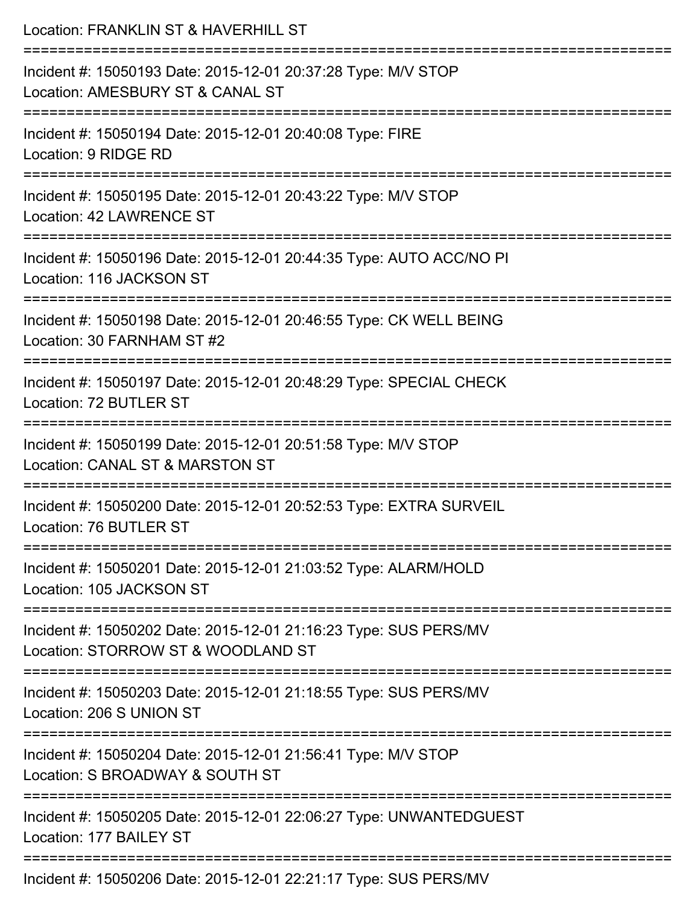| Location: FRANKLIN ST & HAVERHILL ST                                                                   |
|--------------------------------------------------------------------------------------------------------|
| Incident #: 15050193 Date: 2015-12-01 20:37:28 Type: M/V STOP<br>Location: AMESBURY ST & CANAL ST      |
| Incident #: 15050194 Date: 2015-12-01 20:40:08 Type: FIRE<br>Location: 9 RIDGE RD                      |
| Incident #: 15050195 Date: 2015-12-01 20:43:22 Type: M/V STOP<br>Location: 42 LAWRENCE ST              |
| Incident #: 15050196 Date: 2015-12-01 20:44:35 Type: AUTO ACC/NO PI<br>Location: 116 JACKSON ST        |
| Incident #: 15050198 Date: 2015-12-01 20:46:55 Type: CK WELL BEING<br>Location: 30 FARNHAM ST #2       |
| Incident #: 15050197 Date: 2015-12-01 20:48:29 Type: SPECIAL CHECK<br>Location: 72 BUTLER ST           |
| Incident #: 15050199 Date: 2015-12-01 20:51:58 Type: M/V STOP<br>Location: CANAL ST & MARSTON ST       |
| Incident #: 15050200 Date: 2015-12-01 20:52:53 Type: EXTRA SURVEIL<br>Location: 76 BUTLER ST           |
| Incident #: 15050201 Date: 2015-12-01 21:03:52 Type: ALARM/HOLD<br>Location: 105 JACKSON ST            |
| Incident #: 15050202 Date: 2015-12-01 21:16:23 Type: SUS PERS/MV<br>Location: STORROW ST & WOODLAND ST |
| Incident #: 15050203 Date: 2015-12-01 21:18:55 Type: SUS PERS/MV<br>Location: 206 S UNION ST           |
| Incident #: 15050204 Date: 2015-12-01 21:56:41 Type: M/V STOP<br>Location: S BROADWAY & SOUTH ST       |
| Incident #: 15050205 Date: 2015-12-01 22:06:27 Type: UNWANTEDGUEST<br>Location: 177 BAILEY ST          |
| Incident #: 15050206 Date: 2015-12-01 22:21:17 Type: SUS PERS/MV                                       |